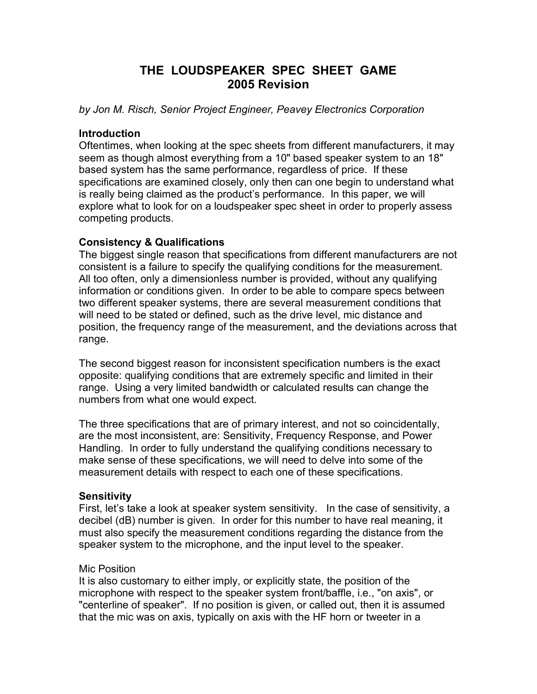# **THE LOUDSPEAKER SPEC SHEET GAME 2005 Revision**

*by Jon M. Risch, Senior Project Engineer, Peavey Electronics Corporation*

### **Introduction**

Oftentimes, when looking at the spec sheets from different manufacturers, it may seem as though almost everything from a 10" based speaker system to an 18" based system has the same performance, regardless of price. If these specifications are examined closely, only then can one begin to understand what is really being claimed as the product's performance. In this paper, we will explore what to look for on a loudspeaker spec sheet in order to properly assess competing products.

## **Consistency & Qualifications**

The biggest single reason that specifications from different manufacturers are not consistent is a failure to specify the qualifying conditions for the measurement. All too often, only a dimensionless number is provided, without any qualifying information or conditions given. In order to be able to compare specs between two different speaker systems, there are several measurement conditions that will need to be stated or defined, such as the drive level, mic distance and position, the frequency range of the measurement, and the deviations across that range.

The second biggest reason for inconsistent specification numbers is the exact opposite: qualifying conditions that are extremely specific and limited in their range. Using a very limited bandwidth or calculated results can change the numbers from what one would expect.

The three specifications that are of primary interest, and not so coincidentally, are the most inconsistent, are: Sensitivity, Frequency Response, and Power Handling. In order to fully understand the qualifying conditions necessary to make sense of these specifications, we will need to delve into some of the measurement details with respect to each one of these specifications.

## **Sensitivity**

First, let's take a look at speaker system sensitivity. In the case of sensitivity, a decibel (dB) number is given. In order for this number to have real meaning, it must also specify the measurement conditions regarding the distance from the speaker system to the microphone, and the input level to the speaker.

## Mic Position

It is also customary to either imply, or explicitly state, the position of the microphone with respect to the speaker system front/baffle, i.e., "on axis", or "centerline of speaker". If no position is given, or called out, then it is assumed that the mic was on axis, typically on axis with the HF horn or tweeter in a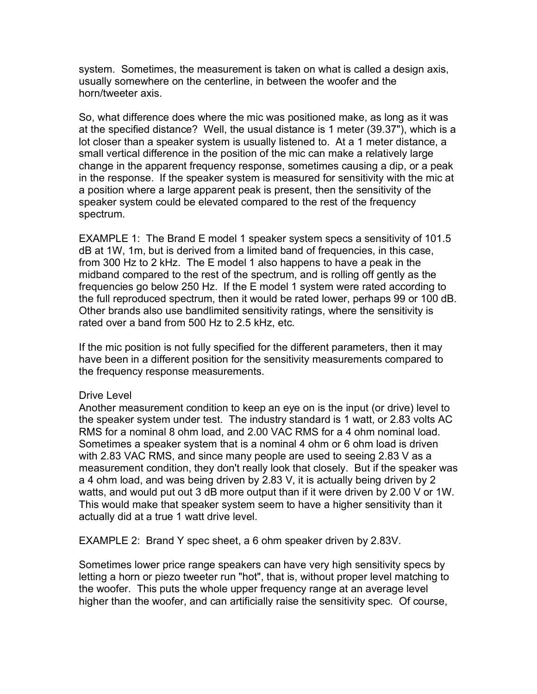system. Sometimes, the measurement is taken on what is called a design axis, usually somewhere on the centerline, in between the woofer and the horn/tweeter axis.

So, what difference does where the mic was positioned make, as long as it was at the specified distance? Well, the usual distance is 1 meter (39.37"), which is a lot closer than a speaker system is usually listened to. At a 1 meter distance, a small vertical difference in the position of the mic can make a relatively large change in the apparent frequency response, sometimes causing a dip, or a peak in the response. If the speaker system is measured for sensitivity with the mic at a position where a large apparent peak is present, then the sensitivity of the speaker system could be elevated compared to the rest of the frequency spectrum.

EXAMPLE 1: The Brand E model 1 speaker system specs a sensitivity of 101.5 dB at 1W, 1m, but is derived from a limited band of frequencies, in this case, from 300 Hz to 2 kHz. The E model 1 also happens to have a peak in the midband compared to the rest of the spectrum, and is rolling off gently as the frequencies go below 250 Hz. If the E model 1 system were rated according to the full reproduced spectrum, then it would be rated lower, perhaps 99 or 100 dB. Other brands also use bandlimited sensitivity ratings, where the sensitivity is rated over a band from 500 Hz to 2.5 kHz, etc.

If the mic position is not fully specified for the different parameters, then it may have been in a different position for the sensitivity measurements compared to the frequency response measurements.

#### Drive Level

Another measurement condition to keep an eye on is the input (or drive) level to the speaker system under test. The industry standard is 1 watt, or 2.83 volts AC RMS for a nominal 8 ohm load, and 2.00 VAC RMS for a 4 ohm nominal load. Sometimes a speaker system that is a nominal 4 ohm or 6 ohm load is driven with 2.83 VAC RMS, and since many people are used to seeing 2.83 V as a measurement condition, they don't really look that closely. But if the speaker was a 4 ohm load, and was being driven by 2.83 V, it is actually being driven by 2 watts, and would put out 3 dB more output than if it were driven by 2.00 V or 1W. This would make that speaker system seem to have a higher sensitivity than it actually did at a true 1 watt drive level.

EXAMPLE 2: Brand Y spec sheet, a 6 ohm speaker driven by 2.83V.

Sometimes lower price range speakers can have very high sensitivity specs by letting a horn or piezo tweeter run "hot", that is, without proper level matching to the woofer. This puts the whole upper frequency range at an average level higher than the woofer, and can artificially raise the sensitivity spec. Of course,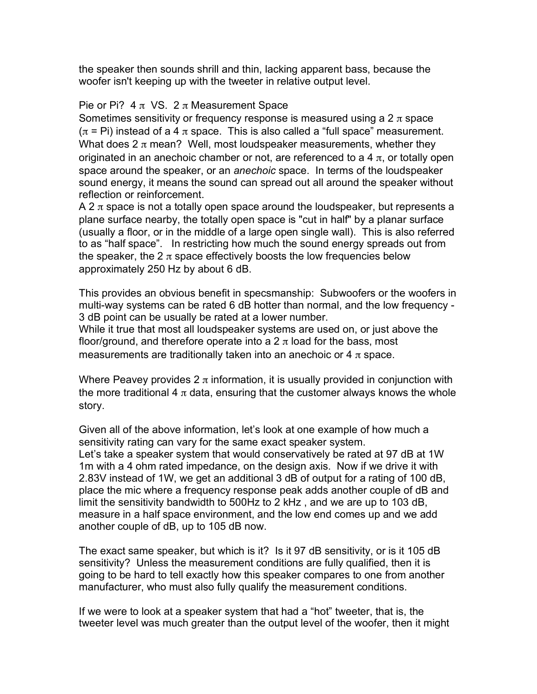the speaker then sounds shrill and thin, lacking apparent bass, because the woofer isn't keeping up with the tweeter in relative output level.

## Pie or Pi? 4  $\pi$  VS. 2  $\pi$  Measurement Space

Sometimes sensitivity or frequency response is measured using a  $2 \pi$  space  $(\pi = \text{Pi})$  instead of a 4  $\pi$  space. This is also called a "full space" measurement. What does  $2 \pi$  mean? Well, most loudspeaker measurements, whether they originated in an anechoic chamber or not, are referenced to a 4  $\pi$ , or totally open space around the speaker, or an *anechoic* space. In terms of the loudspeaker sound energy, it means the sound can spread out all around the speaker without reflection or reinforcement.

A 2  $\pi$  space is not a totally open space around the loudspeaker, but represents a plane surface nearby, the totally open space is "cut in half" by a planar surface (usually a floor, or in the middle of a large open single wall). This is also referred to as "half space". In restricting how much the sound energy spreads out from the speaker, the 2  $\pi$  space effectively boosts the low frequencies below approximately 250 Hz by about 6 dB.

This provides an obvious benefit in specsmanship: Subwoofers or the woofers in multi-way systems can be rated 6 dB hotter than normal, and the low frequency - 3 dB point can be usually be rated at a lower number.

While it true that most all loudspeaker systems are used on, or just above the floor/ground, and therefore operate into a  $2 \pi$  load for the bass, most measurements are traditionally taken into an anechoic or 4  $\pi$  space.

Where Peavey provides 2  $\pi$  information, it is usually provided in conjunction with the more traditional 4  $\pi$  data, ensuring that the customer always knows the whole story.

Given all of the above information, let's look at one example of how much a sensitivity rating can vary for the same exact speaker system.

Let's take a speaker system that would conservatively be rated at 97 dB at 1W 1m with a 4 ohm rated impedance, on the design axis. Now if we drive it with 2.83V instead of 1W, we get an additional 3 dB of output for a rating of 100 dB, place the mic where a frequency response peak adds another couple of dB and limit the sensitivity bandwidth to 500Hz to 2 kHz , and we are up to 103 dB, measure in a half space environment, and the low end comes up and we add another couple of dB, up to 105 dB now.

The exact same speaker, but which is it? Is it 97 dB sensitivity, or is it 105 dB sensitivity? Unless the measurement conditions are fully qualified, then it is going to be hard to tell exactly how this speaker compares to one from another manufacturer, who must also fully qualify the measurement conditions.

If we were to look at a speaker system that had a "hot" tweeter, that is, the tweeter level was much greater than the output level of the woofer, then it might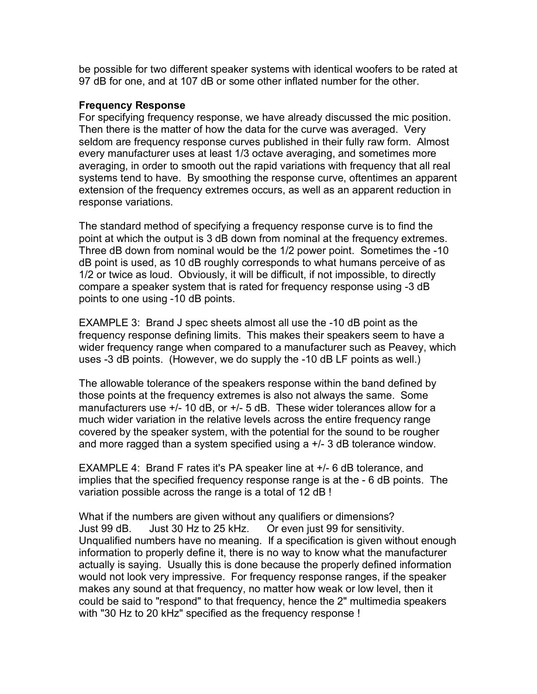be possible for two different speaker systems with identical woofers to be rated at 97 dB for one, and at 107 dB or some other inflated number for the other.

#### **Frequency Response**

For specifying frequency response, we have already discussed the mic position. Then there is the matter of how the data for the curve was averaged. Very seldom are frequency response curves published in their fully raw form. Almost every manufacturer uses at least 1/3 octave averaging, and sometimes more averaging, in order to smooth out the rapid variations with frequency that all real systems tend to have. By smoothing the response curve, oftentimes an apparent extension of the frequency extremes occurs, as well as an apparent reduction in response variations.

The standard method of specifying a frequency response curve is to find the point at which the output is 3 dB down from nominal at the frequency extremes. Three dB down from nominal would be the 1/2 power point. Sometimes the -10 dB point is used, as 10 dB roughly corresponds to what humans perceive of as 1/2 or twice as loud. Obviously, it will be difficult, if not impossible, to directly compare a speaker system that is rated for frequency response using -3 dB points to one using -10 dB points.

EXAMPLE 3: Brand J spec sheets almost all use the -10 dB point as the frequency response defining limits. This makes their speakers seem to have a wider frequency range when compared to a manufacturer such as Peavey, which uses -3 dB points. (However, we do supply the -10 dB LF points as well.)

The allowable tolerance of the speakers response within the band defined by those points at the frequency extremes is also not always the same. Some manufacturers use +/- 10 dB, or +/- 5 dB. These wider tolerances allow for a much wider variation in the relative levels across the entire frequency range covered by the speaker system, with the potential for the sound to be rougher and more ragged than a system specified using a +/- 3 dB tolerance window.

EXAMPLE 4: Brand F rates it's PA speaker line at +/- 6 dB tolerance, and implies that the specified frequency response range is at the - 6 dB points. The variation possible across the range is a total of 12 dB !

What if the numbers are given without any qualifiers or dimensions? Just 99 dB. Just 30 Hz to 25 kHz. Or even just 99 for sensitivity. Unqualified numbers have no meaning. If a specification is given without enough information to properly define it, there is no way to know what the manufacturer actually is saying. Usually this is done because the properly defined information would not look very impressive. For frequency response ranges, if the speaker makes any sound at that frequency, no matter how weak or low level, then it could be said to "respond" to that frequency, hence the 2" multimedia speakers with "30 Hz to 20 kHz" specified as the frequency response !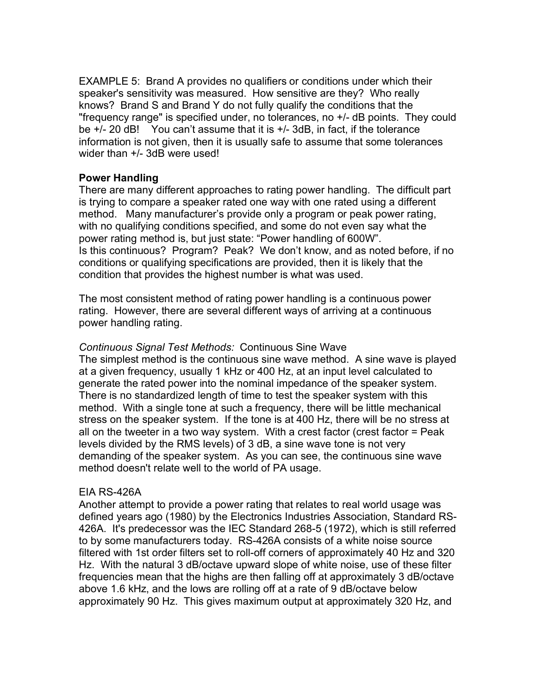EXAMPLE 5: Brand A provides no qualifiers or conditions under which their speaker's sensitivity was measured. How sensitive are they? Who really knows? Brand S and Brand Y do not fully qualify the conditions that the "frequency range" is specified under, no tolerances, no +/- dB points. They could be +/- 20 dB! You can't assume that it is +/- 3dB, in fact, if the tolerance information is not given, then it is usually safe to assume that some tolerances wider than +/- 3dB were used!

### **Power Handling**

There are many different approaches to rating power handling. The difficult part is trying to compare a speaker rated one way with one rated using a different method. Many manufacturer's provide only a program or peak power rating, with no qualifying conditions specified, and some do not even say what the power rating method is, but just state: "Power handling of 600W". Is this continuous? Program? Peak? We don't know, and as noted before, if no conditions or qualifying specifications are provided, then it is likely that the condition that provides the highest number is what was used.

The most consistent method of rating power handling is a continuous power rating. However, there are several different ways of arriving at a continuous power handling rating.

*Continuous Signal Test Methods:* Continuous Sine Wave The simplest method is the continuous sine wave method. A sine wave is played at a given frequency, usually 1 kHz or 400 Hz, at an input level calculated to generate the rated power into the nominal impedance of the speaker system. There is no standardized length of time to test the speaker system with this method. With a single tone at such a frequency, there will be little mechanical stress on the speaker system. If the tone is at 400 Hz, there will be no stress at all on the tweeter in a two way system. With a crest factor (crest factor = Peak levels divided by the RMS levels) of 3 dB, a sine wave tone is not very demanding of the speaker system. As you can see, the continuous sine wave method doesn't relate well to the world of PA usage.

#### EIA RS-426A

Another attempt to provide a power rating that relates to real world usage was defined years ago (1980) by the Electronics Industries Association, Standard RS-426A. It's predecessor was the IEC Standard 268-5 (1972), which is still referred to by some manufacturers today. RS-426A consists of a white noise source filtered with 1st order filters set to roll-off corners of approximately 40 Hz and 320 Hz. With the natural 3 dB/octave upward slope of white noise, use of these filter frequencies mean that the highs are then falling off at approximately 3 dB/octave above 1.6 kHz, and the lows are rolling off at a rate of 9 dB/octave below approximately 90 Hz. This gives maximum output at approximately 320 Hz, and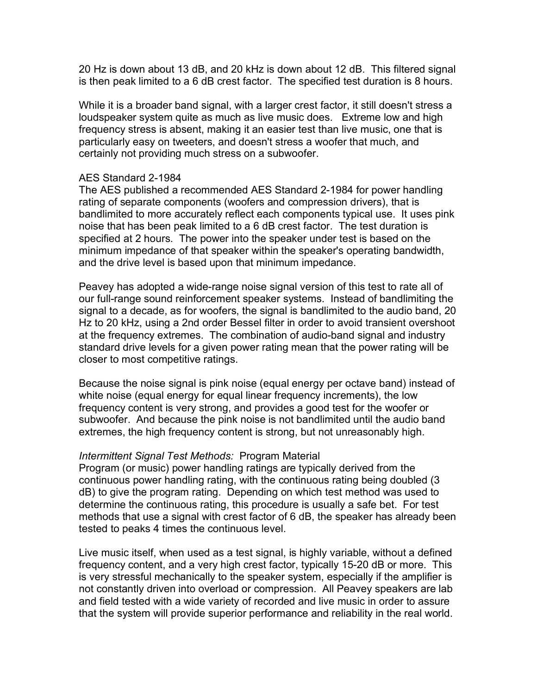20 Hz is down about 13 dB, and 20 kHz is down about 12 dB. This filtered signal is then peak limited to a 6 dB crest factor. The specified test duration is 8 hours.

While it is a broader band signal, with a larger crest factor, it still doesn't stress a loudspeaker system quite as much as live music does. Extreme low and high frequency stress is absent, making it an easier test than live music, one that is particularly easy on tweeters, and doesn't stress a woofer that much, and certainly not providing much stress on a subwoofer.

#### AES Standard 2-1984

The AES published a recommended AES Standard 2-1984 for power handling rating of separate components (woofers and compression drivers), that is bandlimited to more accurately reflect each components typical use. It uses pink noise that has been peak limited to a 6 dB crest factor. The test duration is specified at 2 hours. The power into the speaker under test is based on the minimum impedance of that speaker within the speaker's operating bandwidth, and the drive level is based upon that minimum impedance.

Peavey has adopted a wide-range noise signal version of this test to rate all of our full-range sound reinforcement speaker systems. Instead of bandlimiting the signal to a decade, as for woofers, the signal is bandlimited to the audio band, 20 Hz to 20 kHz, using a 2nd order Bessel filter in order to avoid transient overshoot at the frequency extremes. The combination of audio-band signal and industry standard drive levels for a given power rating mean that the power rating will be closer to most competitive ratings.

Because the noise signal is pink noise (equal energy per octave band) instead of white noise (equal energy for equal linear frequency increments), the low frequency content is very strong, and provides a good test for the woofer or subwoofer. And because the pink noise is not bandlimited until the audio band extremes, the high frequency content is strong, but not unreasonably high.

#### *Intermittent Signal Test Methods:* Program Material

Program (or music) power handling ratings are typically derived from the continuous power handling rating, with the continuous rating being doubled (3 dB) to give the program rating. Depending on which test method was used to determine the continuous rating, this procedure is usually a safe bet. For test methods that use a signal with crest factor of 6 dB, the speaker has already been tested to peaks 4 times the continuous level.

Live music itself, when used as a test signal, is highly variable, without a defined frequency content, and a very high crest factor, typically 15-20 dB or more. This is very stressful mechanically to the speaker system, especially if the amplifier is not constantly driven into overload or compression. All Peavey speakers are lab and field tested with a wide variety of recorded and live music in order to assure that the system will provide superior performance and reliability in the real world.